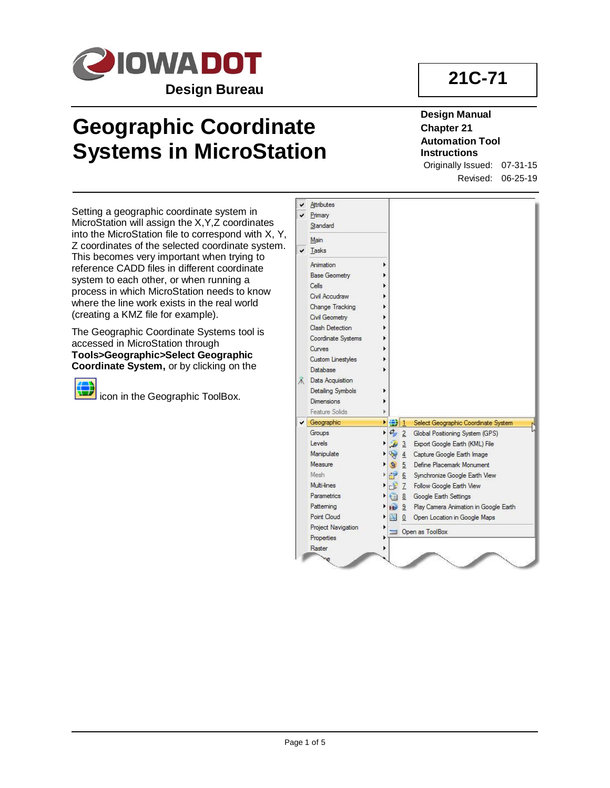

# **Geographic Coordinate Systems in MicroStation**

# **21C-71**

### **Design Manual Chapter 21 Automation Tool Instructions**

Originally Issued: 07-31-15 Revised: 06-25-19

Setting a geographic coordinate system in MicroStation will assign the X,Y,Z coordinates into the MicroStation file to correspond with X, Y, Z coordinates of the selected coordinate system. This becomes very important when trying to reference CADD files in different coordinate system to each other, or when running a process in which MicroStation needs to know where the line work exists in the real world (creating a KMZ file for example).

The Geographic Coordinate Systems tool is accessed in MicroStation through **Tools>Geographic>Select Geographic Coordinate System,** or by clicking on the



**icon** in the Geographic ToolBox.

| ✔ | Attributes           |                          |                |                                       |
|---|----------------------|--------------------------|----------------|---------------------------------------|
|   | Primary              |                          |                |                                       |
|   | Standard             |                          |                |                                       |
|   | Main                 |                          |                |                                       |
| ✔ | Tasks                |                          |                |                                       |
|   | Animation            |                          |                |                                       |
|   | <b>Base Geometry</b> |                          |                |                                       |
|   | Cells                |                          |                |                                       |
|   | Civil Accudraw       |                          |                |                                       |
|   | Change Tracking      |                          |                |                                       |
|   | Civil Geometry       |                          |                |                                       |
|   | Clash Detection      |                          |                |                                       |
|   | Coordinate Systems   |                          |                |                                       |
|   | Curves               |                          |                |                                       |
|   | Custom Linestyles    |                          |                |                                       |
|   | Database             |                          |                |                                       |
| ж | Data Acquisition     |                          |                |                                       |
|   | Detailing Symbols    |                          |                |                                       |
|   | <b>Dimensions</b>    |                          |                |                                       |
|   | Feature Solids       |                          |                |                                       |
| v | Geographic           | ▶ (金) 1                  |                | Select Geographic Coordinate System   |
|   | Groups               | $\sigma_y$ 2             |                | Global Positioning System (GPS)       |
|   | Levels               | $\overline{\mathcal{L}}$ | $\overline{3}$ | Export Google Earth (KML) File        |
|   | Manipulate           | V                        | $\overline{4}$ | Capture Google Earth Image            |
|   | Measure              | $\mathbf{Q}$             | $\overline{5}$ | Define Placemark Monument             |
|   | Mesh                 | гP                       | 6              | Synchronize Google Earth View         |
|   | Multi-lines          | $-27$                    |                | Follow Google Earth View              |
|   | <b>Parametrics</b>   | œ                        | 8              | Google Earth Settings                 |
|   | Patterning           | нĎ                       | 9              | Play Camera Animation in Google Earth |
|   | Point Cloud          | P.                       | $\bf{0}$       | Open Location in Google Maps          |
|   | Project Navigation   |                          |                | Open as ToolBox                       |
|   | Properties           |                          |                |                                       |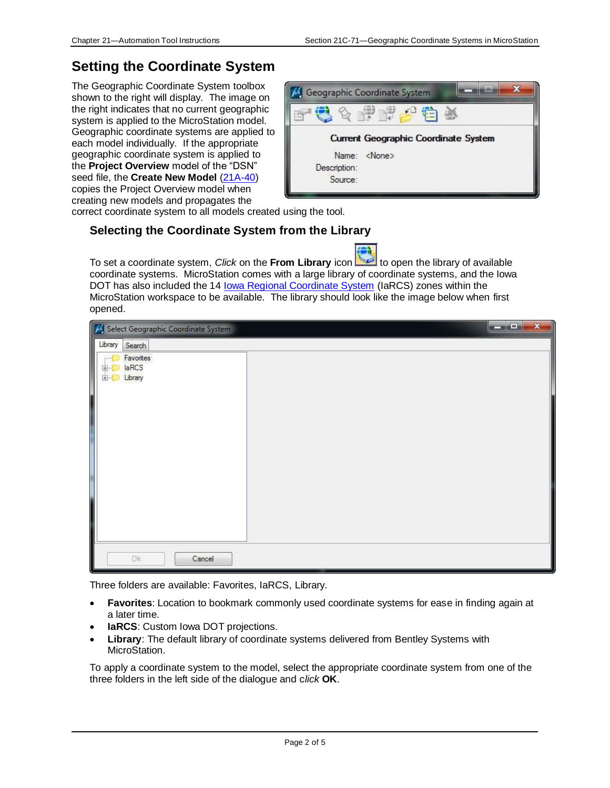### **Setting the Coordinate System**

The Geographic Coordinate System toolbox shown to the right will display. The image on the right indicates that no current geographic system is applied to the MicroStation model. Geographic coordinate systems are applied to each model individually. If the appropriate geographic coordinate system is applied to the **Project Overview** model of the "DSN" seed file, the **Create New Model** [\(21A-40\)](21A-40.pdf) copies the Project Overview model when creating new models and propagates the



correct coordinate system to all models created using the tool.

### **Selecting the Coordinate System from the Library**

To set a coordinate system, *Click* on the From Library icon the library of available coordinate systems. MicroStation comes with a large library of coordinate systems, and the Iowa DOT has also included the 14 [Iowa Regional Coordinate System](../../IaRCS) (IaRCS) zones within the MicroStation workspace to be available. The library should look like the image below when first opened.

| Select Geographic Coordinate System                 | a martin | $\mathbf{x}$ |
|-----------------------------------------------------|----------|--------------|
| Library<br>I<br>Search                              |          |              |
| Favorites<br>111111<br>laRCS<br>田-<br>Library<br>田… |          |              |
|                                                     |          |              |
| Ok<br>Cancel                                        |          |              |

Three folders are available: Favorites, IaRCS, Library.

- **Favorites**: Location to bookmark commonly used coordinate systems for ease in finding again at a later time.
- **IaRCS**: Custom Iowa DOT projections.
- **Library**: The default library of coordinate systems delivered from Bentley Systems with MicroStation.

To apply a coordinate system to the model, select the appropriate coordinate system from one of the three folders in the left side of the dialogue and c*lick* **OK**.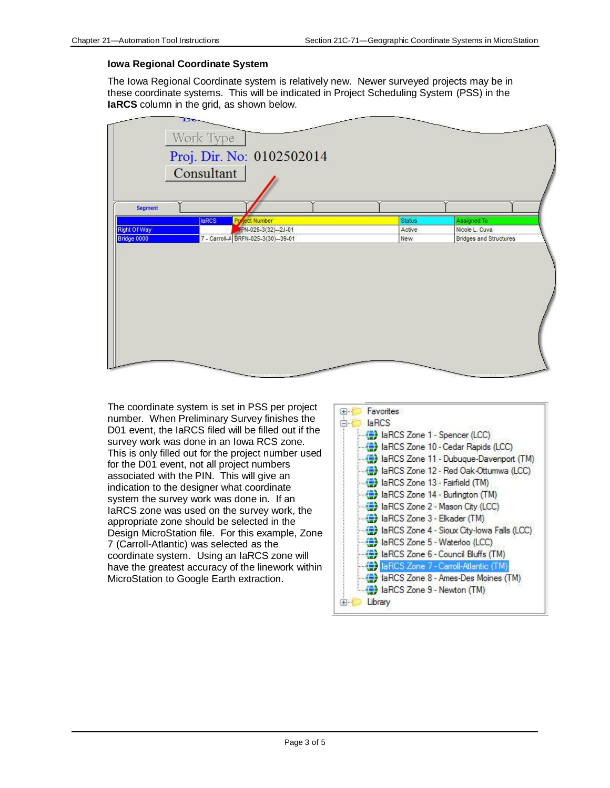#### **Iowa Regional Coordinate System**

The Iowa Regional Coordinate system is relatively new. Newer surveyed projects may be in these coordinate systems. This will be indicated in Project Scheduling System (PSS) in the **IaRCS** column in the grid, as shown below.

| <b>Segment</b><br><b>laRCS</b><br><b>Project Number</b><br>Assigned To<br><b>Status</b><br>FPN-025-3(32)-2J-01<br><b>Right Of Way</b><br>Nicole L. Cuva<br>Active<br>Bridge 0000<br>7 - Carroll-A BRFN-025-3(30)--39-01<br><b>Bridges and Structures</b><br>New | Proj. Dir. No: 0102502014<br>Consultant |  |
|-----------------------------------------------------------------------------------------------------------------------------------------------------------------------------------------------------------------------------------------------------------------|-----------------------------------------|--|
|                                                                                                                                                                                                                                                                 |                                         |  |
|                                                                                                                                                                                                                                                                 |                                         |  |
|                                                                                                                                                                                                                                                                 |                                         |  |
|                                                                                                                                                                                                                                                                 |                                         |  |
|                                                                                                                                                                                                                                                                 |                                         |  |
|                                                                                                                                                                                                                                                                 |                                         |  |

The coordinate system is set in PSS per project number. When Preliminary Survey finishes the D01 event, the IaRCS filed will be filled out if the survey work was done in an Iowa RCS zone. This is only filled out for the project number used for the D01 event, not all project numbers associated with the PIN. This will give an indication to the designer what coordinate system the survey work was done in. If an IaRCS zone was used on the survey work, the appropriate zone should be selected in the Design MicroStation file. For this example, Zone 7 (Carroll-Atlantic) was selected as the coordinate system. Using an IaRCS zone will have the greatest accuracy of the linework within MicroStation to Google Earth extraction.

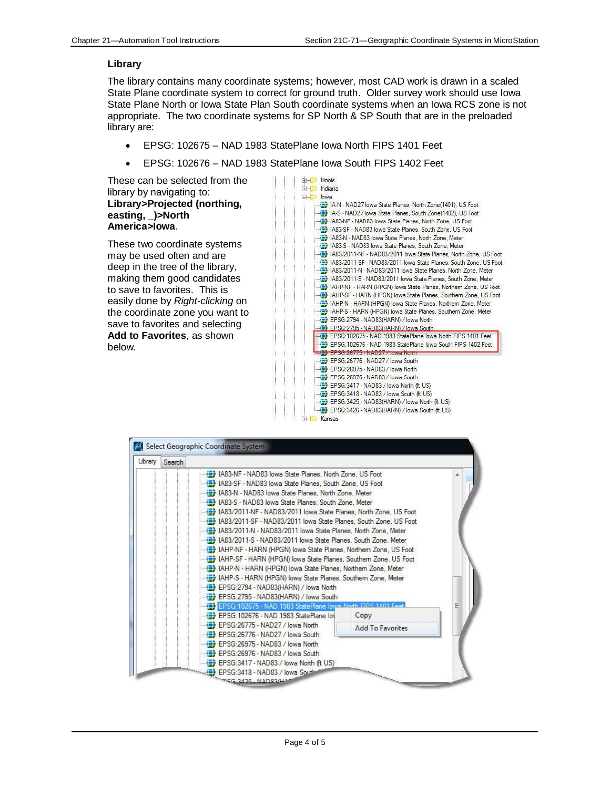#### **Library**

The library contains many coordinate systems; however, most CAD work is drawn in a scaled State Plane coordinate system to correct for ground truth. Older survey work should use Iowa State Plane North or Iowa State Plan South coordinate systems when an Iowa RCS zone is not appropriate. The two coordinate systems for SP North & SP South that are in the preloaded library are:

- EPSG: 102675 NAD 1983 StatePlane Iowa North FIPS 1401 Feet
- EPSG: 102676 NAD 1983 StatePlane Iowa South FIPS 1402 Feet

These can be selected from the library by navigating to: **Library>Projected (northing, easting, \_)>North America>Iowa**.

These two coordinate systems may be used often and are deep in the tree of the library, making them good candidates to save to favorites. This is easily done by *Right-clicking* on the coordinate zone you want to save to favorites and selecting **Add to Favorites**, as shown below.



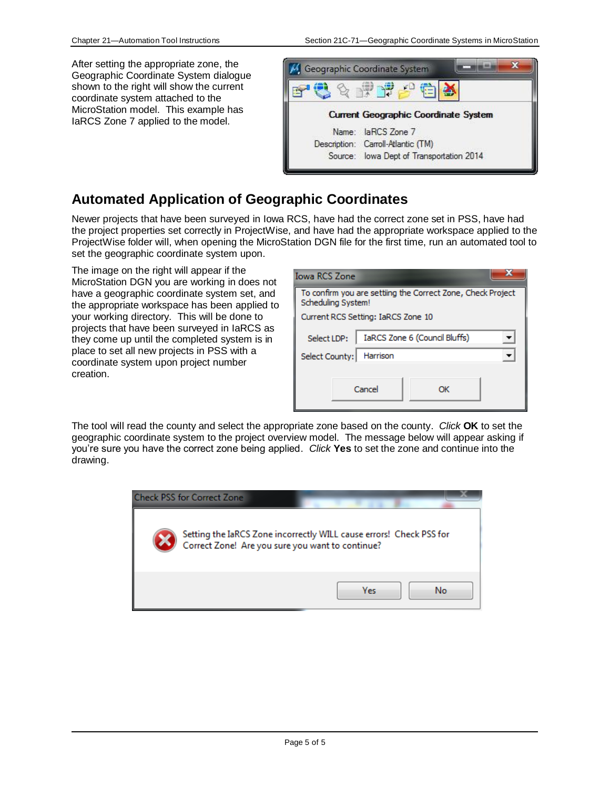After setting the appropriate zone, the Geographic Coordinate System dialogue shown to the right will show the current coordinate system attached to the MicroStation model. This example has IaRCS Zone 7 applied to the model.



### **Automated Application of Geographic Coordinates**

Newer projects that have been surveyed in Iowa RCS, have had the correct zone set in PSS, have had the project properties set correctly in ProjectWise, and have had the appropriate workspace applied to the ProjectWise folder will, when opening the MicroStation DGN file for the first time, run an automated tool to set the geographic coordinate system upon.

The image on the right will appear if the MicroStation DGN you are working in does not have a geographic coordinate system set, and the appropriate workspace has been applied to your working directory. This will be done to projects that have been surveyed in IaRCS as they come up until the completed system is in place to set all new projects in PSS with a coordinate system upon project number creation.

| <b>Iowa RCS Zone</b>                                                              |  |  |  |  |  |
|-----------------------------------------------------------------------------------|--|--|--|--|--|
| To confirm you are settiing the Correct Zone, Check Project<br>Scheduling System! |  |  |  |  |  |
| Current RCS Setting: IaRCS Zone 10                                                |  |  |  |  |  |
| IaRCS Zone 6 (Council Bluffs)<br>Select LDP:                                      |  |  |  |  |  |
| Select County:<br>Harrison                                                        |  |  |  |  |  |
|                                                                                   |  |  |  |  |  |
| Cancel<br>ΩK                                                                      |  |  |  |  |  |

The tool will read the county and select the appropriate zone based on the county. *Click* **OK** to set the geographic coordinate system to the project overview model. The message below will appear asking if you're sure you have the correct zone being applied. *Click* **Yes** to set the zone and continue into the drawing.

| <b>Check PSS for Correct Zone</b>                |                                                                     |
|--------------------------------------------------|---------------------------------------------------------------------|
| Correct Zone! Are you sure you want to continue? | Setting the IaRCS Zone incorrectly WILL cause errors! Check PSS for |
|                                                  | Yes<br>No                                                           |